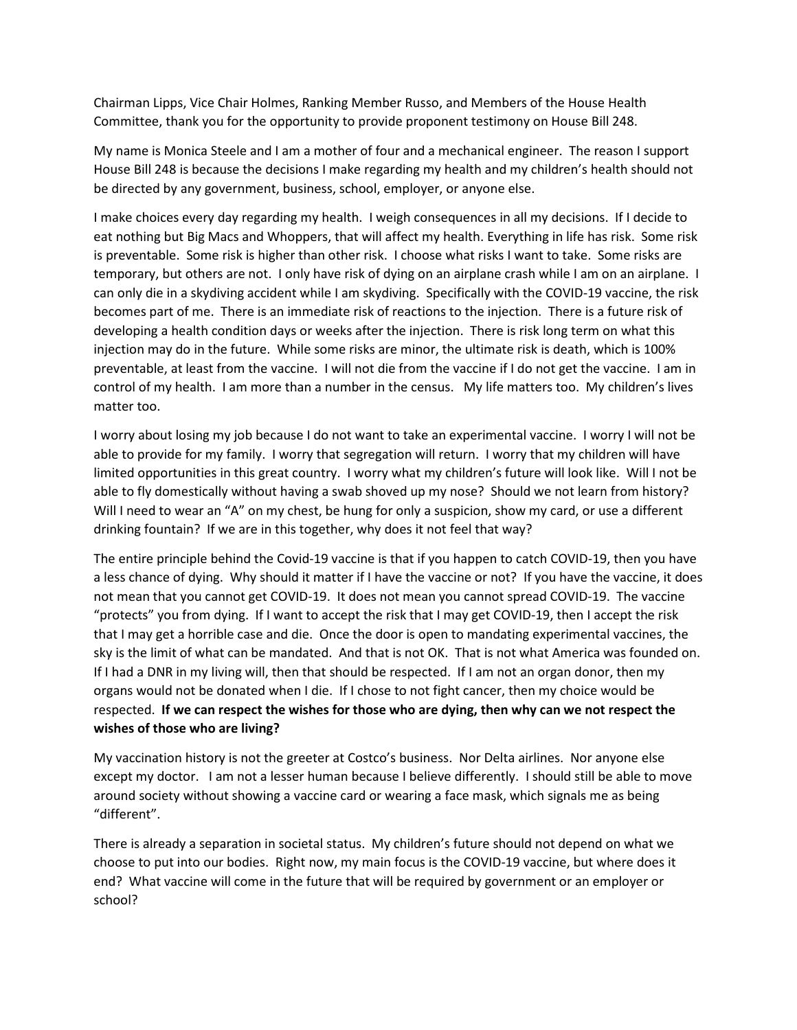Chairman Lipps, Vice Chair Holmes, Ranking Member Russo, and Members of the House Health Committee, thank you for the opportunity to provide proponent testimony on House Bill 248.

My name is Monica Steele and I am a mother of four and a mechanical engineer. The reason I support House Bill 248 is because the decisions I make regarding my health and my children's health should not be directed by any government, business, school, employer, or anyone else.

I make choices every day regarding my health. I weigh consequences in all my decisions. If I decide to eat nothing but Big Macs and Whoppers, that will affect my health. Everything in life has risk. Some risk is preventable. Some risk is higher than other risk. I choose what risks I want to take. Some risks are temporary, but others are not. I only have risk of dying on an airplane crash while I am on an airplane. I can only die in a skydiving accident while I am skydiving. Specifically with the COVID-19 vaccine, the risk becomes part of me. There is an immediate risk of reactions to the injection. There is a future risk of developing a health condition days or weeks after the injection. There is risk long term on what this injection may do in the future. While some risks are minor, the ultimate risk is death, which is 100% preventable, at least from the vaccine. I will not die from the vaccine if I do not get the vaccine. I am in control of my health. I am more than a number in the census. My life matters too. My children's lives matter too.

I worry about losing my job because I do not want to take an experimental vaccine. I worry I will not be able to provide for my family. I worry that segregation will return. I worry that my children will have limited opportunities in this great country. I worry what my children's future will look like. Will I not be able to fly domestically without having a swab shoved up my nose? Should we not learn from history? Will I need to wear an "A" on my chest, be hung for only a suspicion, show my card, or use a different drinking fountain? If we are in this together, why does it not feel that way?

The entire principle behind the Covid-19 vaccine is that if you happen to catch COVID-19, then you have a less chance of dying. Why should it matter if I have the vaccine or not? If you have the vaccine, it does not mean that you cannot get COVID-19. It does not mean you cannot spread COVID-19. The vaccine "protects" you from dying. If I want to accept the risk that I may get COVID-19, then I accept the risk that I may get a horrible case and die. Once the door is open to mandating experimental vaccines, the sky is the limit of what can be mandated. And that is not OK. That is not what America was founded on. If I had a DNR in my living will, then that should be respected. If I am not an organ donor, then my organs would not be donated when I die. If I chose to not fight cancer, then my choice would be respected. **If we can respect the wishes for those who are dying, then why can we not respect the wishes of those who are living?**

My vaccination history is not the greeter at Costco's business. Nor Delta airlines. Nor anyone else except my doctor. I am not a lesser human because I believe differently. I should still be able to move around society without showing a vaccine card or wearing a face mask, which signals me as being "different".

There is already a separation in societal status. My children's future should not depend on what we choose to put into our bodies. Right now, my main focus is the COVID-19 vaccine, but where does it end? What vaccine will come in the future that will be required by government or an employer or school?